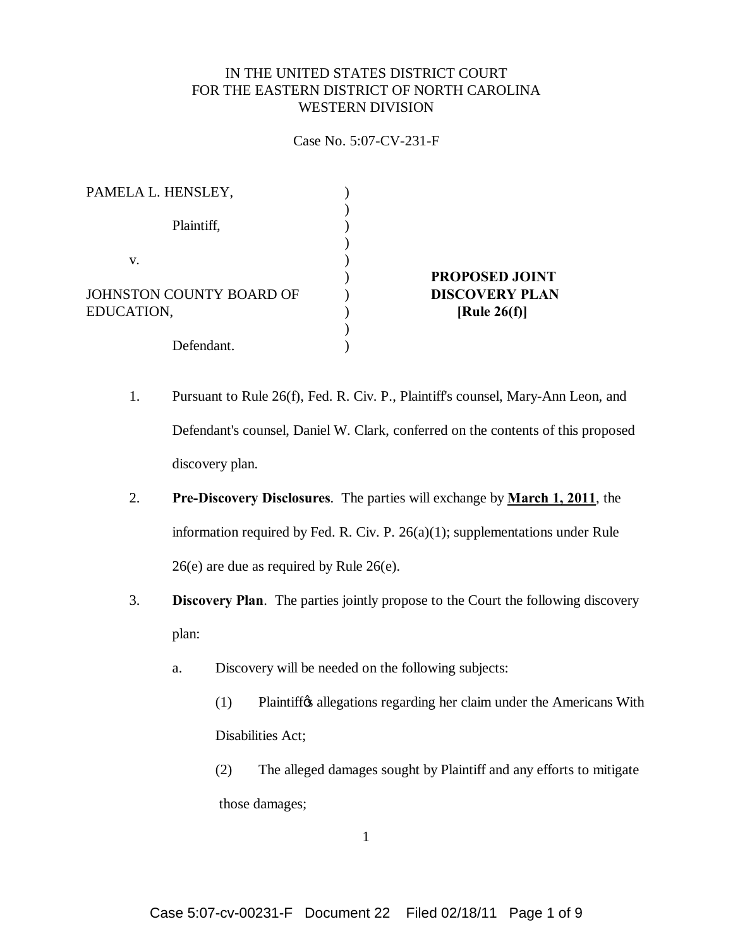## IN THE UNITED STATES DISTRICT COURT FOR THE EASTERN DISTRICT OF NORTH CAROLINA WESTERN DIVISION

## Case No. 5:07-CV-231-F

| <b>PROPOSED JOINT</b><br><b>DISCOVERY PLAN</b> |
|------------------------------------------------|
|                                                |
| [Rule $26(f)$ ]                                |
|                                                |
|                                                |
|                                                |

- 1. Pursuant to Rule 26(f), Fed. R. Civ. P., Plaintiff's counsel, Mary-Ann Leon, and Defendant's counsel, Daniel W. Clark, conferred on the contents of this proposed discovery plan.
- 2. **Pre-Discovery Disclosures**. The parties will exchange by **March 1, 2011**, the information required by Fed. R. Civ. P. 26(a)(1); supplementations under Rule 26(e) are due as required by Rule 26(e).
- 3. **Discovery Plan**. The parties jointly propose to the Court the following discovery plan:
	- a. Discovery will be needed on the following subjects:
		- (1) Plaintiff the allegations regarding her claim under the Americans With Disabilities Act;
		- (2) The alleged damages sought by Plaintiff and any efforts to mitigate those damages;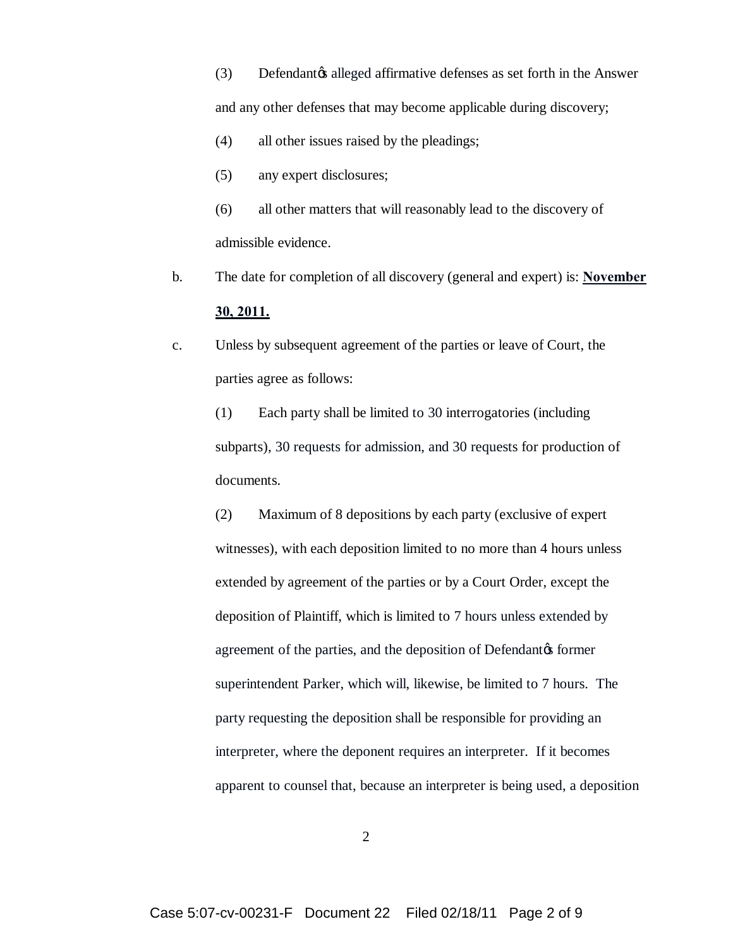(3) Defendant alleged affirmative defenses as set forth in the Answer and any other defenses that may become applicable during discovery;

- (4) all other issues raised by the pleadings;
- (5) any expert disclosures;
- (6) all other matters that will reasonably lead to the discovery of admissible evidence.
- b. The date for completion of all discovery (general and expert) is: **November 30, 2011.**
- c. Unless by subsequent agreement of the parties or leave of Court, the parties agree as follows:

(1) Each party shall be limited to 30 interrogatories (including subparts), 30 requests for admission, and 30 requests for production of documents.

(2) Maximum of 8 depositions by each party (exclusive of expert witnesses), with each deposition limited to no more than 4 hours unless extended by agreement of the parties or by a Court Order, except the deposition of Plaintiff, which is limited to 7 hours unless extended by agreement of the parties, and the deposition of Defendant $\alpha$  former superintendent Parker, which will, likewise, be limited to 7 hours. The party requesting the deposition shall be responsible for providing an interpreter, where the deponent requires an interpreter. If it becomes apparent to counsel that, because an interpreter is being used, a deposition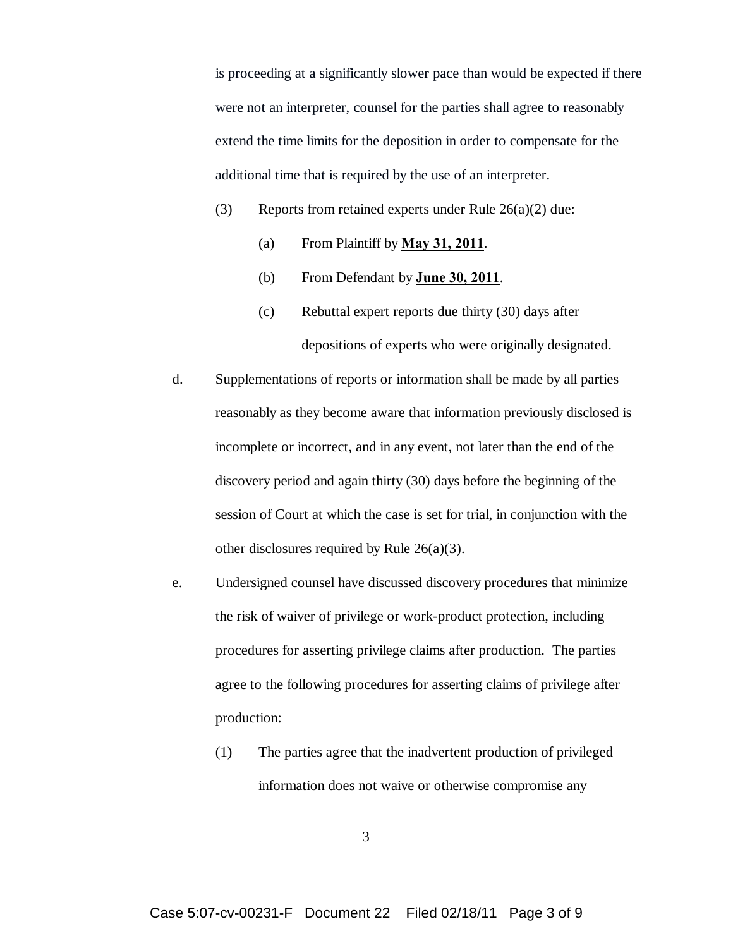is proceeding at a significantly slower pace than would be expected if there were not an interpreter, counsel for the parties shall agree to reasonably extend the time limits for the deposition in order to compensate for the additional time that is required by the use of an interpreter.

- (3) Reports from retained experts under Rule  $26(a)(2)$  due:
	- (a) From Plaintiff by **May 31, 2011**.
	- (b) From Defendant by **June 30, 2011**.
	- (c) Rebuttal expert reports due thirty (30) days after depositions of experts who were originally designated.
- d. Supplementations of reports or information shall be made by all parties reasonably as they become aware that information previously disclosed is incomplete or incorrect, and in any event, not later than the end of the discovery period and again thirty (30) days before the beginning of the session of Court at which the case is set for trial, in conjunction with the other disclosures required by Rule 26(a)(3).
- e. Undersigned counsel have discussed discovery procedures that minimize the risk of waiver of privilege or work-product protection, including procedures for asserting privilege claims after production. The parties agree to the following procedures for asserting claims of privilege after production:
	- (1) The parties agree that the inadvertent production of privileged information does not waive or otherwise compromise any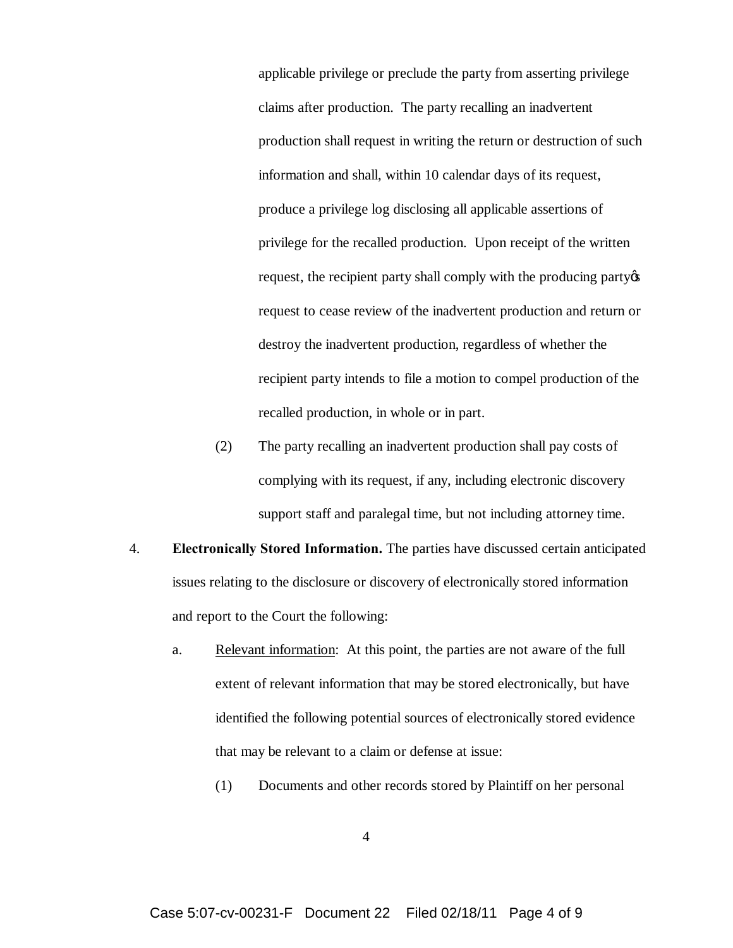applicable privilege or preclude the party from asserting privilege claims after production. The party recalling an inadvertent production shall request in writing the return or destruction of such information and shall, within 10 calendar days of its request, produce a privilege log disclosing all applicable assertions of privilege for the recalled production. Upon receipt of the written request, the recipient party shall comply with the producing party  $\alpha$ request to cease review of the inadvertent production and return or destroy the inadvertent production, regardless of whether the recipient party intends to file a motion to compel production of the recalled production, in whole or in part.

- (2) The party recalling an inadvertent production shall pay costs of complying with its request, if any, including electronic discovery support staff and paralegal time, but not including attorney time.
- 4. **Electronically Stored Information.** The parties have discussed certain anticipated issues relating to the disclosure or discovery of electronically stored information and report to the Court the following:
	- a. Relevant information: At this point, the parties are not aware of the full extent of relevant information that may be stored electronically, but have identified the following potential sources of electronically stored evidence that may be relevant to a claim or defense at issue:
		- (1) Documents and other records stored by Plaintiff on her personal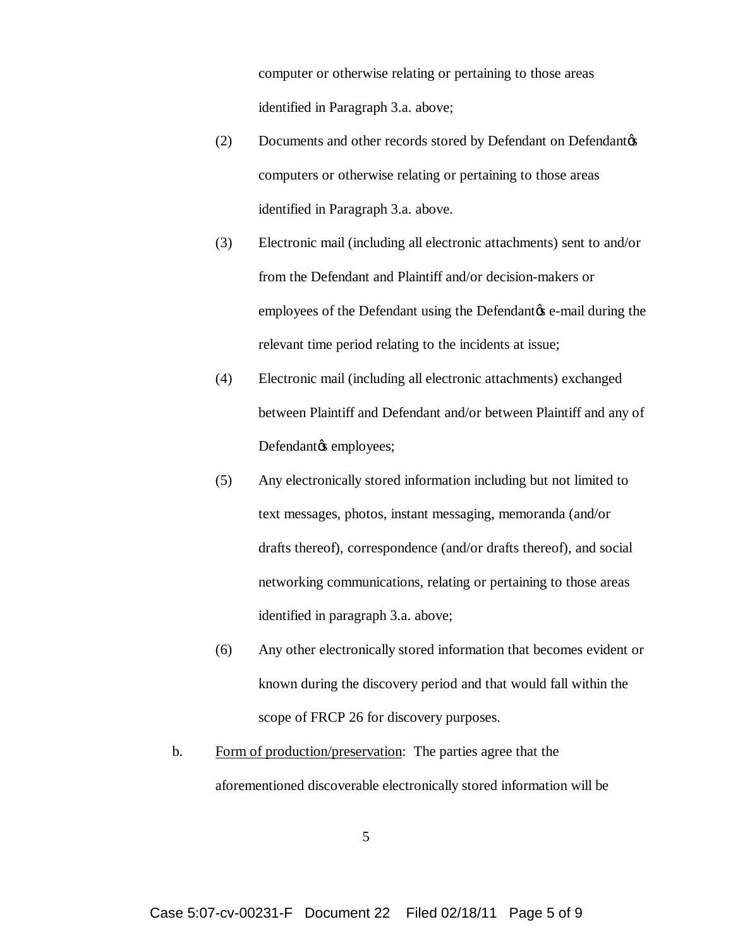computer or otherwise relating or pertaining to those areas identified in Paragraph 3.a. above;

- (2) Documents and other records stored by Defendant on Defendant of computers or otherwise relating or pertaining to those areas identified in Paragraph 3.a. above.
- (3) Electronic mail (including all electronic attachments) sent to and/or from the Defendant and Plaintiff and/or decision-makers or employees of the Defendant using the Defendant  $\alpha$  e-mail during the relevant time period relating to the incidents at issue;
- (4) Electronic mail (including all electronic attachments) exchanged between Plaintiff and Defendant and/or between Plaintiff and any of Defendantøs employees;
- (5) Any electronically stored information including but not limited to text messages, photos, instant messaging, memoranda (and/or drafts thereof), correspondence (and/or drafts thereof), and social networking communications, relating or pertaining to those areas identified in paragraph 3.a. above;
- (6) Any other electronically stored information that becomes evident or known during the discovery period and that would fall within the scope of FRCP 26 for discovery purposes.
- b. Form of production/preservation: The parties agree that the aforementioned discoverable electronically stored information will be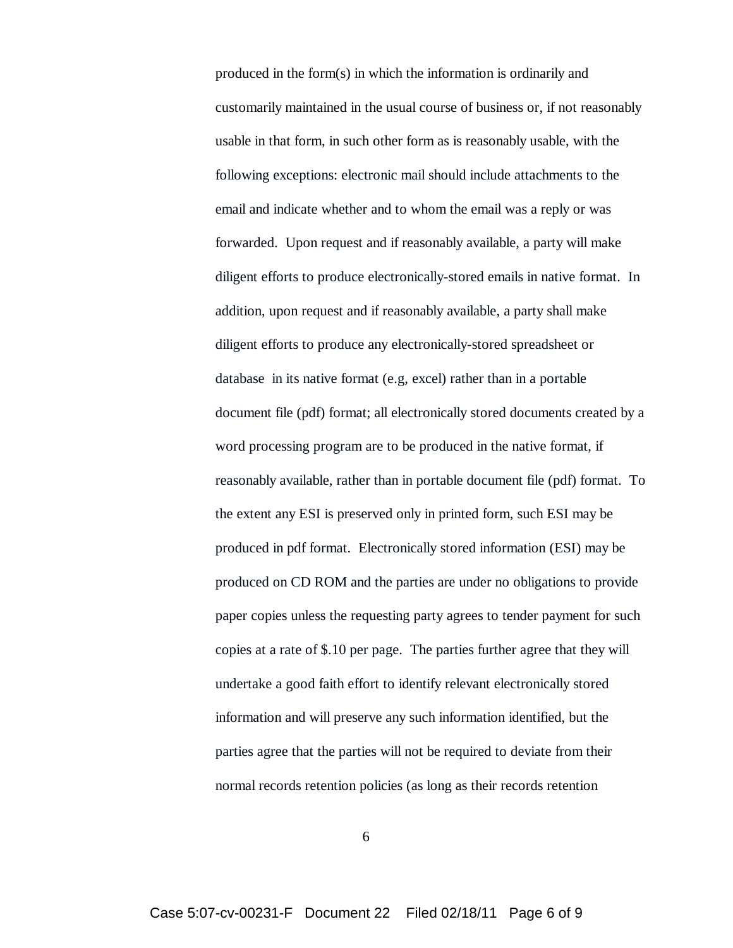produced in the form(s) in which the information is ordinarily and customarily maintained in the usual course of business or, if not reasonably usable in that form, in such other form as is reasonably usable, with the following exceptions: electronic mail should include attachments to the email and indicate whether and to whom the email was a reply or was forwarded. Upon request and if reasonably available, a party will make diligent efforts to produce electronically-stored emails in native format. In addition, upon request and if reasonably available, a party shall make diligent efforts to produce any electronically-stored spreadsheet or database in its native format (e.g, excel) rather than in a portable document file (pdf) format; all electronically stored documents created by a word processing program are to be produced in the native format, if reasonably available, rather than in portable document file (pdf) format. To the extent any ESI is preserved only in printed form, such ESI may be produced in pdf format. Electronically stored information (ESI) may be produced on CD ROM and the parties are under no obligations to provide paper copies unless the requesting party agrees to tender payment for such copies at a rate of \$.10 per page. The parties further agree that they will undertake a good faith effort to identify relevant electronically stored information and will preserve any such information identified, but the parties agree that the parties will not be required to deviate from their normal records retention policies (as long as their records retention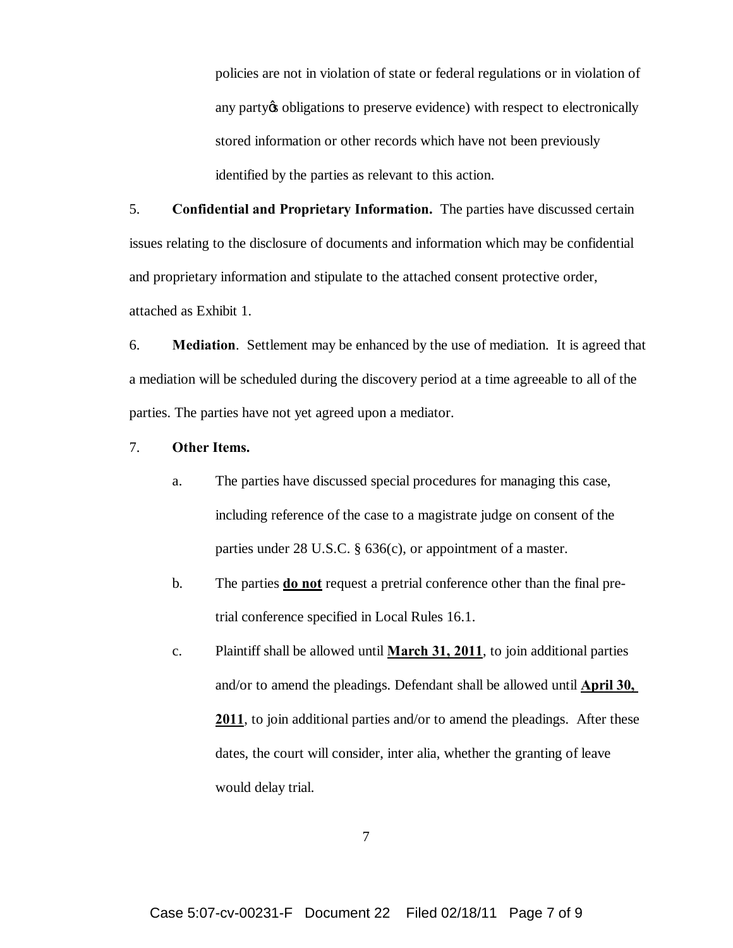policies are not in violation of state or federal regulations or in violation of any party obligations to preserve evidence) with respect to electronically stored information or other records which have not been previously identified by the parties as relevant to this action.

5. **Confidential and Proprietary Information.** The parties have discussed certain issues relating to the disclosure of documents and information which may be confidential and proprietary information and stipulate to the attached consent protective order, attached as Exhibit 1.

6. **Mediation**. Settlement may be enhanced by the use of mediation. It is agreed that a mediation will be scheduled during the discovery period at a time agreeable to all of the parties. The parties have not yet agreed upon a mediator.

- 7. **Other Items.**
	- a. The parties have discussed special procedures for managing this case, including reference of the case to a magistrate judge on consent of the parties under 28 U.S.C. § 636(c), or appointment of a master.
	- b. The parties **do not** request a pretrial conference other than the final pretrial conference specified in Local Rules 16.1.
	- c. Plaintiff shall be allowed until **March 31, 2011**, to join additional parties and/or to amend the pleadings. Defendant shall be allowed until **April 30, 2011**, to join additional parties and/or to amend the pleadings. After these dates, the court will consider, inter alia, whether the granting of leave would delay trial.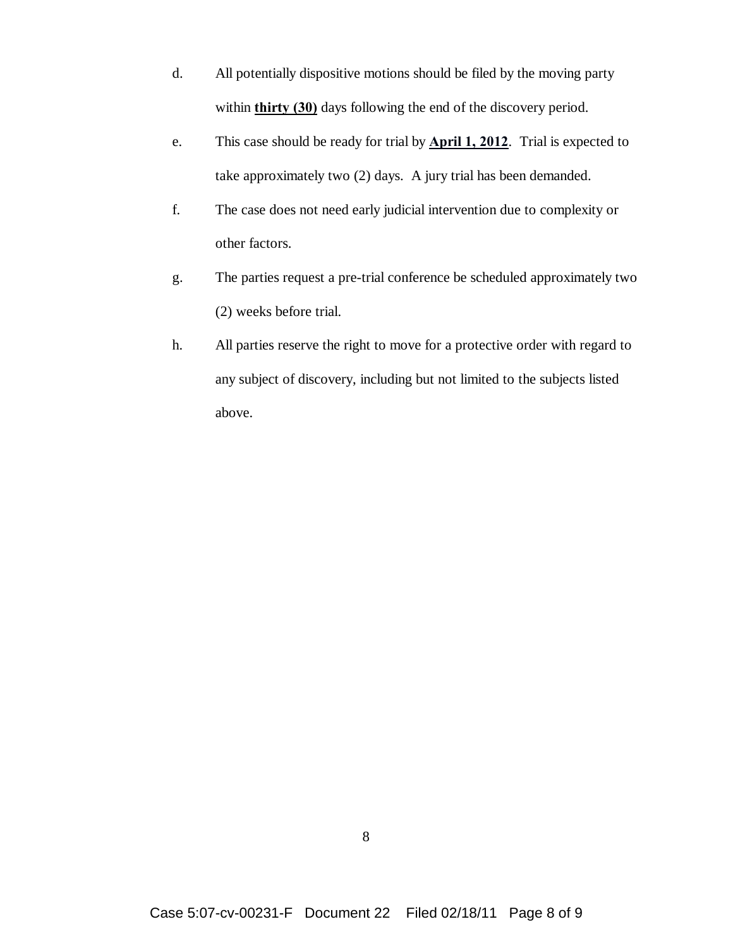- d. All potentially dispositive motions should be filed by the moving party within **thirty (30)** days following the end of the discovery period.
- e. This case should be ready for trial by **April 1, 2012**. Trial is expected to take approximately two (2) days. A jury trial has been demanded.
- f. The case does not need early judicial intervention due to complexity or other factors.
- g. The parties request a pre-trial conference be scheduled approximately two (2) weeks before trial.
- h. All parties reserve the right to move for a protective order with regard to any subject of discovery, including but not limited to the subjects listed above.